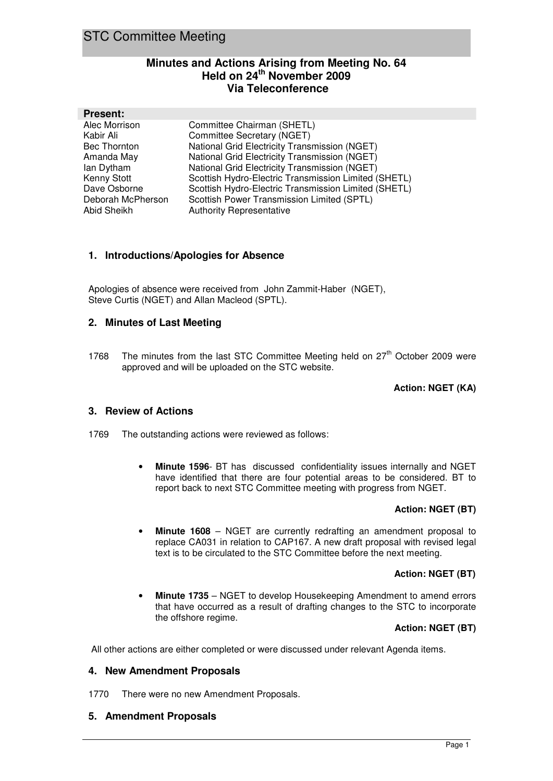## **Minutes and Actions Arising from Meeting No. 64 Held on 24th November 2009 Via Teleconference**

| <b>Present:</b>   |                                                      |
|-------------------|------------------------------------------------------|
| Alec Morrison     | Committee Chairman (SHETL)                           |
| Kabir Ali         | Committee Secretary (NGET)                           |
| Bec Thornton      | National Grid Electricity Transmission (NGET)        |
| Amanda May        | National Grid Electricity Transmission (NGET)        |
| lan Dytham        | National Grid Electricity Transmission (NGET)        |
| Kenny Stott       | Scottish Hydro-Electric Transmission Limited (SHETL) |
| Dave Osborne      | Scottish Hydro-Electric Transmission Limited (SHETL) |
| Deborah McPherson | Scottish Power Transmission Limited (SPTL)           |
| Abid Sheikh       | <b>Authority Representative</b>                      |
|                   |                                                      |

## **1. Introductions/Apologies for Absence**

Apologies of absence were received from John Zammit-Haber (NGET), Steve Curtis (NGET) and Allan Macleod (SPTL).

## **2. Minutes of Last Meeting**

1768 The minutes from the last STC Committee Meeting held on  $27<sup>th</sup>$  October 2009 were approved and will be uploaded on the STC website.

#### **Action: NGET (KA)**

## **3. Review of Actions**

1769 The outstanding actions were reviewed as follows:

• **Minute 1596**- BT has discussed confidentiality issues internally and NGET have identified that there are four potential areas to be considered. BT to report back to next STC Committee meeting with progress from NGET.

## **Action: NGET (BT)**

• **Minute 1608** – NGET are currently redrafting an amendment proposal to replace CA031 in relation to CAP167. A new draft proposal with revised legal text is to be circulated to the STC Committee before the next meeting.

## **Action: NGET (BT)**

**Minute 1735** – NGET to develop Housekeeping Amendment to amend errors that have occurred as a result of drafting changes to the STC to incorporate the offshore regime.

## **Action: NGET (BT)**

All other actions are either completed or were discussed under relevant Agenda items.

## **4. New Amendment Proposals**

1770 There were no new Amendment Proposals.

## **5. Amendment Proposals**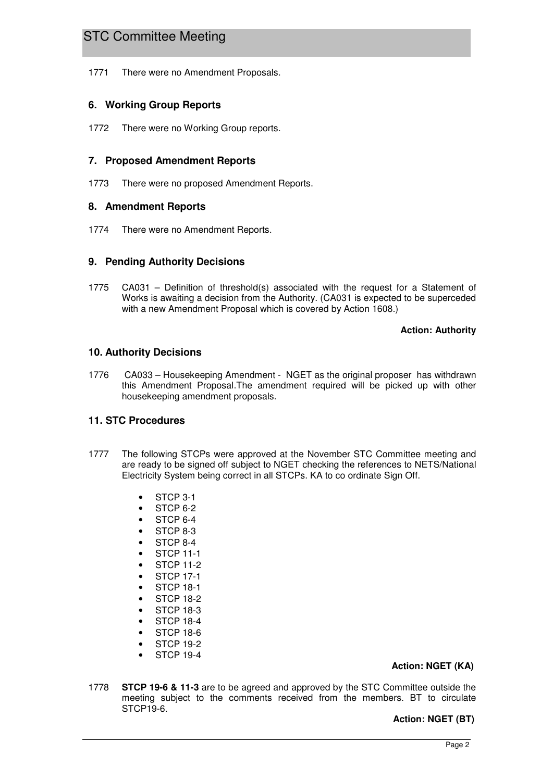1771 There were no Amendment Proposals.

## **6. Working Group Reports**

1772 There were no Working Group reports.

## **7. Proposed Amendment Reports**

1773 There were no proposed Amendment Reports.

## **8. Amendment Reports**

1774 There were no Amendment Reports.

## **9. Pending Authority Decisions**

1775 CA031 – Definition of threshold(s) associated with the request for a Statement of Works is awaiting a decision from the Authority. (CA031 is expected to be superceded with a new Amendment Proposal which is covered by Action 1608.)

#### **Action: Authority**

## **10. Authority Decisions**

1776 CA033 – Housekeeping Amendment - NGET as the original proposer has withdrawn this Amendment Proposal.The amendment required will be picked up with other housekeeping amendment proposals.

## **11. STC Procedures**

- 1777 The following STCPs were approved at the November STC Committee meeting and are ready to be signed off subject to NGET checking the references to NETS/National Electricity System being correct in all STCPs. KA to co ordinate Sign Off.
	- STCP 3-1
	- STCP 6-2
	- STCP 6-4
	- STCP<sub>8-3</sub>
	- STCP<sub>8-4</sub>
	- STCP 11-1
	- STCP 11-2
	- STCP 17-1
	- STCP 18-1
	- STCP 18-2
	- STCP 18-3
	- STCP 18-4
	- STCP 18-6
	- **STCP 19-2**
	- STCP 19-4
	-

## **Action: NGET (KA)**

1778 **STCP 19-6 & 11-3** are to be agreed and approved by the STC Committee outside the meeting subject to the comments received from the members. BT to circulate STCP19-6.

## **Action: NGET (BT)**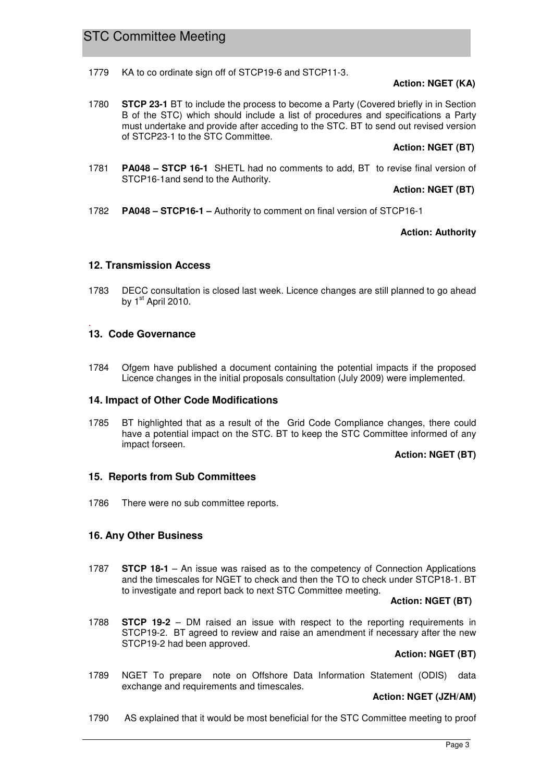1779 KA to co ordinate sign off of STCP19-6 and STCP11-3.

## **Action: NGET (KA)**

1780 **STCP 23-1** BT to include the process to become a Party (Covered briefly in in Section B of the STC) which should include a list of procedures and specifications a Party must undertake and provide after acceding to the STC. BT to send out revised version of STCP23-1 to the STC Committee.

#### **Action: NGET (BT)**

1781 **PA048 – STCP 16-1** SHETL had no comments to add, BT to revise final version of STCP16-1and send to the Authority.

#### **Action: NGET (BT)**

1782 **PA048 – STCP16-1 –** Authority to comment on final version of STCP16-1

## **Action: Authority**

#### **12. Transmission Access**

1783 DECC consultation is closed last week. Licence changes are still planned to go ahead by 1<sup>st</sup> April 2010.

#### . **13. Code Governance**

1784 Ofgem have published a document containing the potential impacts if the proposed Licence changes in the initial proposals consultation (July 2009) were implemented.

## **14. Impact of Other Code Modifications**

1785 BT highlighted that as a result of the Grid Code Compliance changes, there could have a potential impact on the STC. BT to keep the STC Committee informed of any impact forseen.

## **Action: NGET (BT)**

## **15. Reports from Sub Committees**

1786 There were no sub committee reports.

## **16. Any Other Business**

1787 **STCP 18-1** – An issue was raised as to the competency of Connection Applications and the timescales for NGET to check and then the TO to check under STCP18-1. BT to investigate and report back to next STC Committee meeting.

#### **Action: NGET (BT)**

1788 **STCP 19-2** – DM raised an issue with respect to the reporting requirements in STCP19-2. BT agreed to review and raise an amendment if necessary after the new STCP19-2 had been approved.

## **Action: NGET (BT)**

1789 NGET To prepare note on Offshore Data Information Statement (ODIS) data exchange and requirements and timescales.

## **Action: NGET (JZH/AM)**

1790 AS explained that it would be most beneficial for the STC Committee meeting to proof